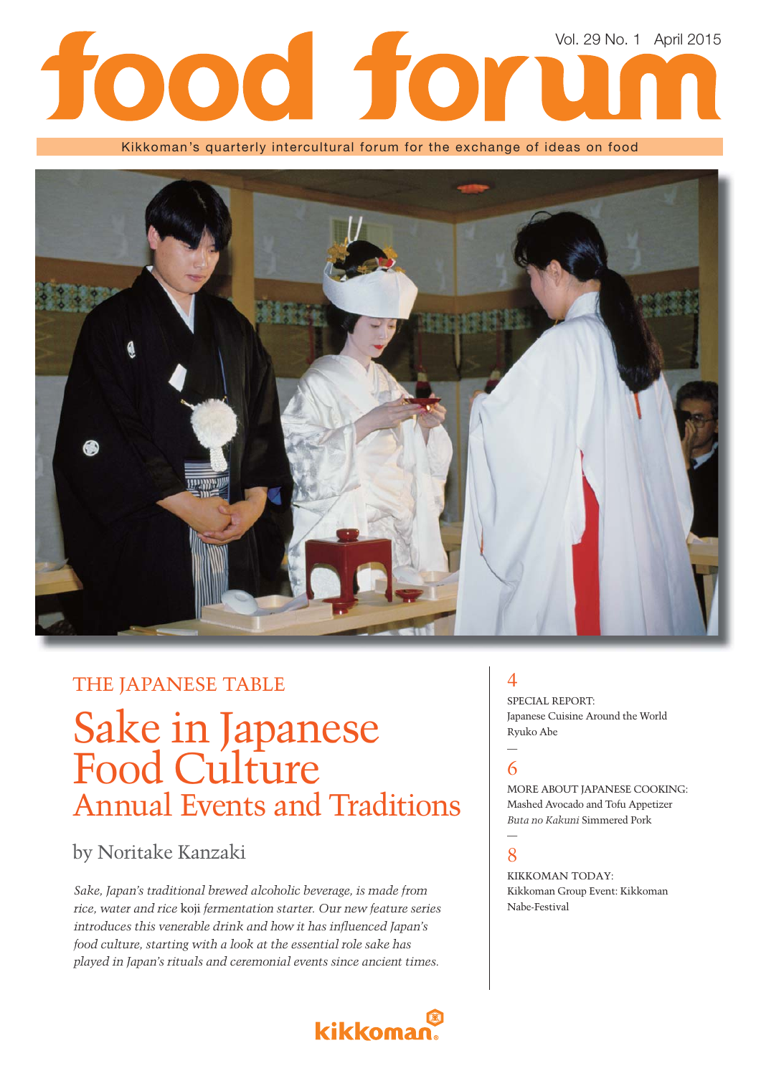# Vol. 29 No. 1 April 2015 **COC TOY**

Kikkoman's quarterly intercultural forum for the exchange of ideas on food



### THE JAPANESE TABLE Sake in Japanese Food Culture Annual Events and Traditions

### by Noritake Kanzaki

*Sake, Japan's traditional brewed alcoholic beverage, is made from rice, water and rice* koji *fermentation starter. Our new feature series*  introduces this venerable drink and how it has influenced Japan's *food culture, starting with a look at the essential role sake has played in Japan's rituals and ceremonial events since ancient times.*



### $\overline{\mathcal{A}}$

SPECIAL REPORT: Japanese Cuisine Around the World Ryuko Abe

### — 6

MORE ABOUT JAPANESE COOKING: Mashed Avocado and Tofu Appetizer *Buta no Kakuni* Simmered Pork

### — 8

KIKKOMAN TODAY: Kikkoman Group Event: Kikkoman Nabe-Festival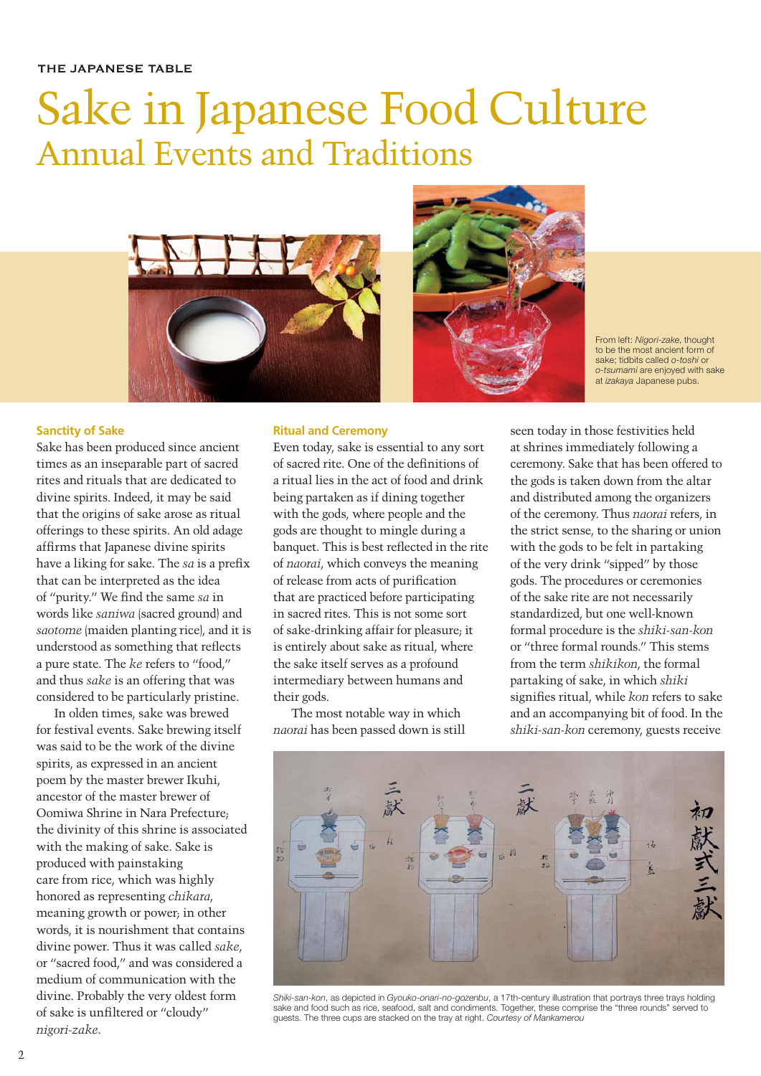## Sake in Japanese Food Culture Annual Events and Traditions





From left: *Nigori-zake*, thought to be the most ancient form of sake; tidbits called *o-toshi* or *o-tsumami* are enjoyed with sake at *izakaya* Japanese pubs.

### **Sanctity of Sake**

Sake has been produced since ancient times as an inseparable part of sacred rites and rituals that are dedicated to divine spirits. Indeed, it may be said that the origins of sake arose as ritual offerings to these spirits. An old adage affirms that Japanese divine spirits have a liking for sake. The *sa* is a prefix that can be interpreted as the idea of "purity." We find the same sa in words like *saniwa* (sacred ground) and *saotome* (maiden planting rice), and it is understood as something that reflects a pure state. The *ke* refers to "food," and thus *sake* is an offering that was considered to be particularly pristine.

In olden times, sake was brewed for festival events. Sake brewing itself was said to be the work of the divine spirits, as expressed in an ancient poem by the master brewer Ikuhi, ancestor of the master brewer of Oomiwa Shrine in Nara Prefecture; the divinity of this shrine is associated with the making of sake. Sake is produced with painstaking care from rice, which was highly honored as representing *chikara*, meaning growth or power; in other words, it is nourishment that contains divine power. Thus it was called *sake*, or "sacred food," and was considered a medium of communication with the divine. Probably the very oldest form of sake is unfiltered or "cloudy" *nigori-zake*.

### **Ritual and Ceremony**

Even today, sake is essential to any sort of sacred rite. One of the definitions of a ritual lies in the act of food and drink being partaken as if dining together with the gods, where people and the gods are thought to mingle during a banquet. This is best reflected in the rite of *naorai*, which conveys the meaning of release from acts of purification that are practiced before participating in sacred rites. This is not some sort of sake-drinking affair for pleasure; it is entirely about sake as ritual, where the sake itself serves as a profound intermediary between humans and their gods.

The most notable way in which *naorai* has been passed down is still seen today in those festivities held at shrines immediately following a ceremony. Sake that has been offered to the gods is taken down from the altar and distributed among the organizers of the ceremony. Thus *naorai* refers, in the strict sense, to the sharing or union with the gods to be felt in partaking of the very drink "sipped" by those gods. The procedures or ceremonies of the sake rite are not necessarily standardized, but one well-known formal procedure is the *shiki-san-kon* or "three formal rounds." This stems from the term *shikikon*, the formal partaking of sake, in which *shiki* signifies ritual, while *kon* refers to sake and an accompanying bit of food. In the *shiki-san-kon* ceremony, guests receive



*Shiki-san-kon*, as depicted in *Gyouko-onari-no-gozenbu*, a 17th-century illustration that portrays three trays holding sake and food such as rice, seafood, salt and condiments. Together, these comprise the "three rounds" served to guests. The three cups are stacked on the tray at right. *Courtesy of Mankamerou*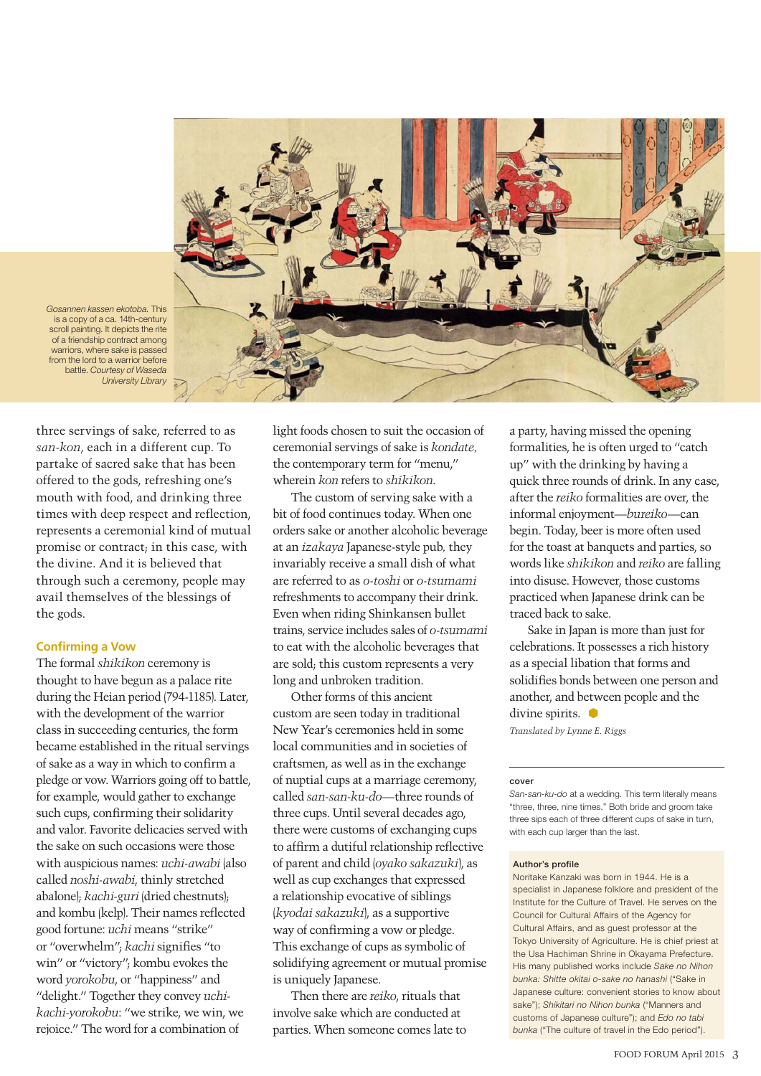

*Gosannen kassen ekotoba.* This is a copy of a ca. 14th-century scroll painting. It depicts the rite of a friendship contract among warriors, where sake is passed from the lord to a warrior before battle. *Courtesy of Waseda University Library* 

three servings of sake, referred to as *san-kon*, each in a different cup. To partake of sacred sake that has been offered to the gods, refreshing one's mouth with food, and drinking three times with deep respect and reflection, represents a ceremonial kind of mutual promise or contract; in this case, with the divine. And it is believed that through such a ceremony, people may avail themselves of the blessings of the gods.

### **Confirming a Vow**

The formal *shikikon* ceremony is thought to have begun as a palace rite during the Heian period (794-1185). Later, with the development of the warrior class in succeeding centuries, the form became established in the ritual servings of sake as a way in which to confirm a pledge or vow. Warriors going off to battle, for example, would gather to exchange such cups, confirming their solidarity and valor. Favorite delicacies served with the sake on such occasions were those with auspicious names: *uchi-awabi* (also called *noshi-awabi*, thinly stretched abalone); *kachi-guri* (dried chestnuts); and kombu (kelp). Their names reflected good fortune: *uchi* means "strike" or "overwhelm"; *kachi* signifies "to win" or "victory"; kombu evokes the word *yorokobu*, or "happiness" and "delight." Together they convey *uchikachi-yorokobu*: "we strike, we win, we rejoice." The word for a combination of

light foods chosen to suit the occasion of ceremonial servings of sake is *kondate,* the contemporary term for "menu," wherein *kon* refers to *shikikon*.

The custom of serving sake with a bit of food continues today. When one orders sake or another alcoholic beverage at an *izakaya* Japanese-style pub*,* they invariably receive a small dish of what are referred to as *o-toshi* or *o-tsumami* refreshments to accompany their drink. Even when riding Shinkansen bullet trains, service includes sales of *o-tsumami* to eat with the alcoholic beverages that are sold; this custom represents a very long and unbroken tradition.

Other forms of this ancient custom are seen today in traditional New Year's ceremonies held in some local communities and in societies of craftsmen, as well as in the exchange of nuptial cups at a marriage ceremony, called *san-san-ku-do—*three rounds of three cups. Until several decades ago, there were customs of exchanging cups to affirm a dutiful relationship reflective of parent and child (*oyako sakazuki*), as well as cup exchanges that expressed a relationship evocative of siblings (*kyodai sakazuki*), as a supportive way of confirming a vow or pledge. This exchange of cups as symbolic of solidifying agreement or mutual promise is uniquely Japanese.

Then there are *reiko*, rituals that involve sake which are conducted at parties. When someone comes late to

a party, having missed the opening formalities, he is often urged to "catch up" with the drinking by having a quick three rounds of drink. In any case, after the *reiko* formalities are over, the informal enjoyment—*bureiko*—can begin. Today, beer is more often used for the toast at banquets and parties, so words like *shikikon* and *reiko* are falling into disuse. However, those customs practiced when Japanese drink can be traced back to sake.

Sake in Japan is more than just for celebrations. It possesses a rich history as a special libation that forms and solidifies bonds between one person and another, and between people and the divine spirits.  $\bullet$ 

*Translated by Lynne E. Riggs* 

#### **cover**

*San-san-ku-do* at a wedding*.* This term literally means "three, three, nine times." Both bride and groom take three sips each of three different cups of sake in turn, with each cup larger than the last.

#### **Author's profile**

Noritake Kanzaki was born in 1944. He is a specialist in Japanese folklore and president of the Institute for the Culture of Travel. He serves on the Council for Cultural Affairs of the Agency for Cultural Affairs, and as guest professor at the Tokyo University of Agriculture. He is chief priest at the Usa Hachiman Shrine in Okayama Prefecture. His many published works include *Sake no Nihon bunka: Shitte okitai o-sake no hanashi* ("Sake in Japanese culture: convenient stories to know about sake"); *Shikitari no Nihon bunka* ("Manners and customs of Japanese culture"); and *Edo no tabi bunka* ("The culture of travel in the Edo period").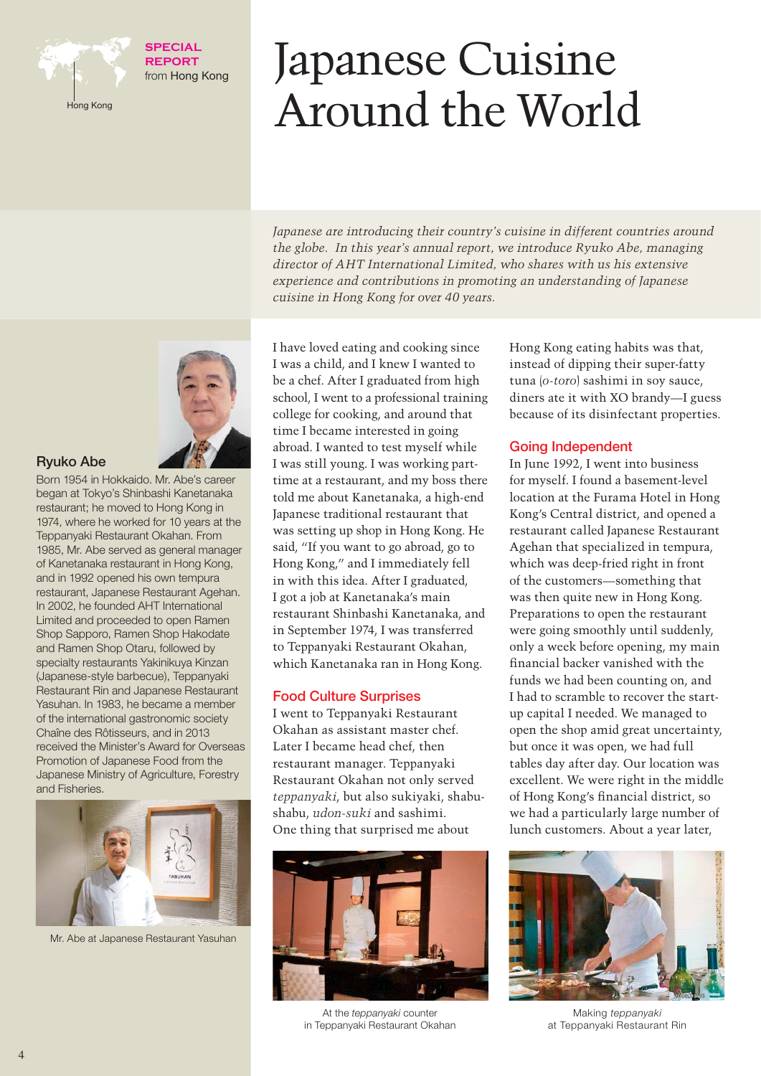

### **SPECIAL REPORT** from Hong Kong

Hong Kong

# Japanese Cuisine Around the World

*Japanese are introducing their country's cuisine in different countries around the globe. In this year's annual report, we introduce Ryuko Abe, managing director of AHT International Limited, who shares with us his extensive experience and contributions in promoting an understanding of Japanese cuisine in Hong Kong for over 40 years.*



### **Ryuko Abe**

Born 1954 in Hokkaido. Mr. Abe's career began at Tokyo's Shinbashi Kanetanaka restaurant; he moved to Hong Kong in 1974, where he worked for 10 years at the Teppanyaki Restaurant Okahan. From 1985, Mr. Abe served as general manager of Kanetanaka restaurant in Hong Kong, and in 1992 opened his own tempura restaurant, Japanese Restaurant Agehan. In 2002, he founded AHT International Limited and proceeded to open Ramen Shop Sapporo, Ramen Shop Hakodate and Ramen Shop Otaru, followed by specialty restaurants Yakinikuya Kinzan (Japanese-style barbecue), Teppanyaki Restaurant Rin and Japanese Restaurant Yasuhan. In 1983, he became a member of the international gastronomic society Chaîne des Rôtisseurs, and in 2013 received the Minister's Award for Overseas Promotion of Japanese Food from the Japanese Ministry of Agriculture, Forestry and Fisheries.



Mr. Abe at Japanese Restaurant Yasuhan

I have loved eating and cooking since I was a child, and I knew I wanted to be a chef. After I graduated from high school, I went to a professional training college for cooking, and around that time I became interested in going abroad. I wanted to test myself while I was still young. I was working parttime at a restaurant, and my boss there told me about Kanetanaka, a high-end Japanese traditional restaurant that was setting up shop in Hong Kong. He said, "If you want to go abroad, go to Hong Kong," and I immediately fell in with this idea. After I graduated, I got a job at Kanetanaka's main restaurant Shinbashi Kanetanaka, and in September 1974, I was transferred to Teppanyaki Restaurant Okahan, which Kanetanaka ran in Hong Kong.

### **Food Culture Surprises**

I went to Teppanyaki Restaurant Okahan as assistant master chef. Later I became head chef, then restaurant manager. Teppanyaki Restaurant Okahan not only served *teppanyaki*, but also sukiyaki, shabushabu, *udon-suki* and sashimi. One thing that surprised me about



At the *teppanyaki* counter in Teppanyaki Restaurant Okahan

Hong Kong eating habits was that, instead of dipping their super-fatty tuna (*o-toro*) sashimi in soy sauce, diners ate it with XO brandy—I guess because of its disinfectant properties.

### **Going Independent**

In June 1992, I went into business for myself. I found a basement-level location at the Furama Hotel in Hong Kong's Central district, and opened a restaurant called Japanese Restaurant Agehan that specialized in tempura, which was deep-fried right in front of the customers—something that was then quite new in Hong Kong. Preparations to open the restaurant were going smoothly until suddenly, only a week before opening, my main financial backer vanished with the funds we had been counting on, and I had to scramble to recover the startup capital I needed. We managed to open the shop amid great uncertainty, but once it was open, we had full tables day after day. Our location was excellent. We were right in the middle of Hong Kong's financial district, so we had a particularly large number of lunch customers. About a year later,



Making *teppanyaki* at Teppanyaki Restaurant Rin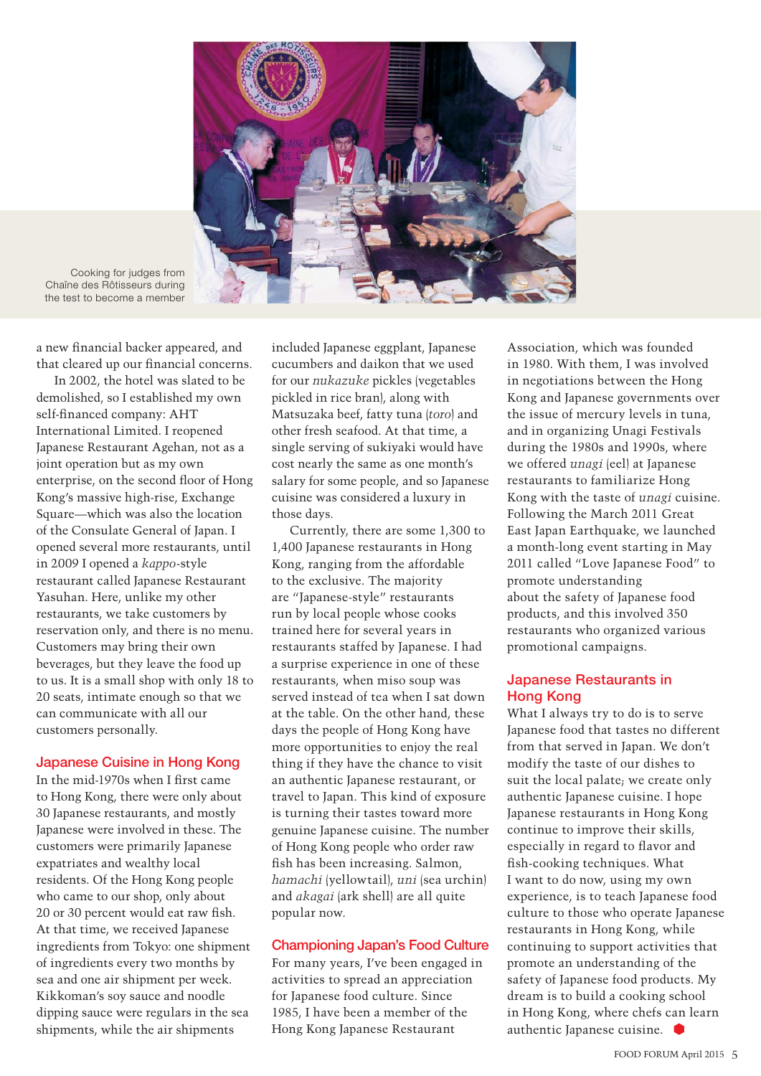

Cooking for judges from Chaîne des Rôtisseurs during the test to become a member

a new financial backer appeared, and that cleared up our financial concerns.

In 2002, the hotel was slated to be demolished, so I established my own self-financed company: AHT International Limited. I reopened Japanese Restaurant Agehan, not as a joint operation but as my own enterprise, on the second floor of Hong Kong's massive high-rise, Exchange Square—which was also the location of the Consulate General of Japan. I opened several more restaurants, until in 2009 I opened a *kappo*-style restaurant called Japanese Restaurant Yasuhan. Here, unlike my other restaurants, we take customers by reservation only, and there is no menu. Customers may bring their own beverages, but they leave the food up to us. It is a small shop with only 18 to 20 seats, intimate enough so that we can communicate with all our customers personally.

### **Japanese Cuisine in Hong Kong**

In the mid-1970s when I first came to Hong Kong, there were only about 30 Japanese restaurants, and mostly Japanese were involved in these. The customers were primarily Japanese expatriates and wealthy local residents. Of the Hong Kong people who came to our shop, only about 20 or 30 percent would eat raw fish. At that time, we received Japanese ingredients from Tokyo: one shipment of ingredients every two months by sea and one air shipment per week. Kikkoman's soy sauce and noodle dipping sauce were regulars in the sea shipments, while the air shipments

included Japanese eggplant, Japanese cucumbers and daikon that we used for our *nukazuke* pickles (vegetables pickled in rice bran), along with Matsuzaka beef, fatty tuna (*toro*) and other fresh seafood. At that time, a single serving of sukiyaki would have cost nearly the same as one month's salary for some people, and so Japanese cuisine was considered a luxury in those days.

Currently, there are some 1,300 to 1,400 Japanese restaurants in Hong Kong, ranging from the affordable to the exclusive. The majority are "Japanese-style" restaurants run by local people whose cooks trained here for several years in restaurants staffed by Japanese. I had a surprise experience in one of these restaurants, when miso soup was served instead of tea when I sat down at the table. On the other hand, these days the people of Hong Kong have more opportunities to enjoy the real thing if they have the chance to visit an authentic Japanese restaurant, or travel to Japan. This kind of exposure is turning their tastes toward more genuine Japanese cuisine. The number of Hong Kong people who order raw fish has been increasing. Salmon, *hamachi* (yellowtail), *uni* (sea urchin) and *akagai* (ark shell) are all quite popular now.

### **Championing Japan's Food Culture**

For many years, I've been engaged in activities to spread an appreciation for Japanese food culture. Since 1985, I have been a member of the Hong Kong Japanese Restaurant

Association, which was founded in 1980. With them, I was involved in negotiations between the Hong Kong and Japanese governments over the issue of mercury levels in tuna, and in organizing Unagi Festivals during the 1980s and 1990s, where we offered *unagi* (eel) at Japanese restaurants to familiarize Hong Kong with the taste of *unagi* cuisine. Following the March 2011 Great East Japan Earthquake, we launched a month-long event starting in May 2011 called "Love Japanese Food" to promote understanding about the safety of Japanese food products, and this involved 350 restaurants who organized various promotional campaigns.

### **Japanese Restaurants in Hong Kong**

What I always try to do is to serve Japanese food that tastes no different from that served in Japan. We don't modify the taste of our dishes to suit the local palate; we create only authentic Japanese cuisine. I hope Japanese restaurants in Hong Kong continue to improve their skills, especially in regard to flavor and fish-cooking techniques. What I want to do now, using my own experience, is to teach Japanese food culture to those who operate Japanese restaurants in Hong Kong, while continuing to support activities that promote an understanding of the safety of Japanese food products. My dream is to build a cooking school in Hong Kong, where chefs can learn authentic Japanese cuisine.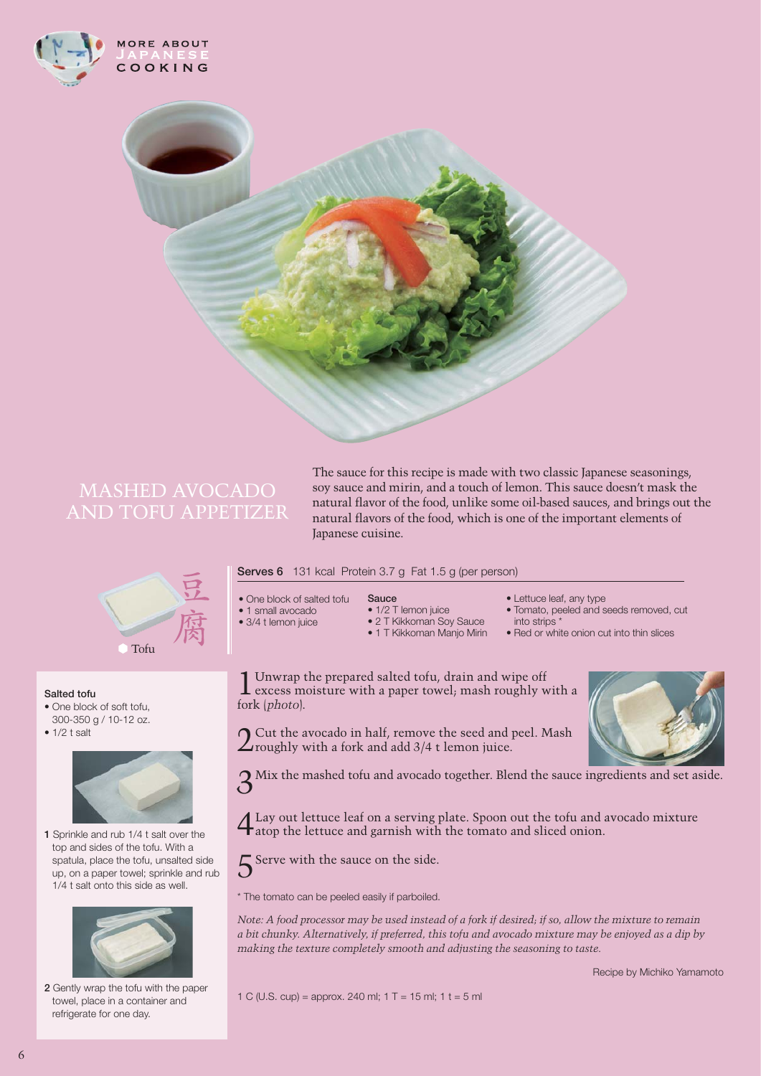



## AND TOFU APPETIZER

The sauce for this recipe is made with two classic Japanese seasonings, soy sauce and mirin, and a touch of lemon. This sauce doesn't mask the natural flavor of the food, unlike some oil-based sauces, and brings out the natural flavors of the food, which is one of the important elements of Japanese cuisine.



### **Salted tofu**

- One block of soft tofu, 300-350 g / 10-12 oz.
- $\bullet$  1/2 t salt



**1** Sprinkle and rub 1/4 t salt over the top and sides of the tofu. With a spatula, place the tofu, unsalted side up, on a paper towel; sprinkle and rub 1/4 t salt onto this side as well.



**2** Gently wrap the tofu with the paper towel, place in a container and refrigerate for one day.

**Serves 6** 131 kcal Protein 3.7 g Fat 1.5 g (per person) **Sauce**

- One block of salted tofu
- 1 small avocado
- 3/4 t lemon juice
- 1/2 T lemon juice
- 2 T Kikkoman Sov Sauce • 1 T Kikkoman Manjo Mirin
- Lettuce leaf, any type
- Tomato, peeled and seeds removed, cut into strips \*
- Red or white onion cut into thin slices

1 Unwrap the prepared salted tofu, drain and wipe off excess moisture with a paper towel; mash roughly with a fork (*photo*).



2Cut the avocado in half, remove the seed and peel. Mash  $\angle$ roughly with a fork and add 3/4 t lemon juice.

3Mix the mashed tofu and avocado together. Blend the sauce ingredients and set aside.

- Lay out lettuce leaf on a serving plate. Spoon out the tofu and avocado mixture  $\pm$  atop the lettuce and garnish with the tomato and sliced onion.
- $5$  Serve with the sauce on the side.

\* The tomato can be peeled easily if parboiled.

*Note: A food processor may be used instead of a fork if desired; if so, allow the mixture to remain a bit chunky. Alternatively, if preferred, this tofu and avocado mixture may be enjoyed as a dip by making the texture completely smooth and adjusting the seasoning to taste.* 

Recipe by Michiko Yamamoto

1 C (U.S. cup) = approx. 240 ml;  $1 T = 15$  ml;  $1 t = 5$  ml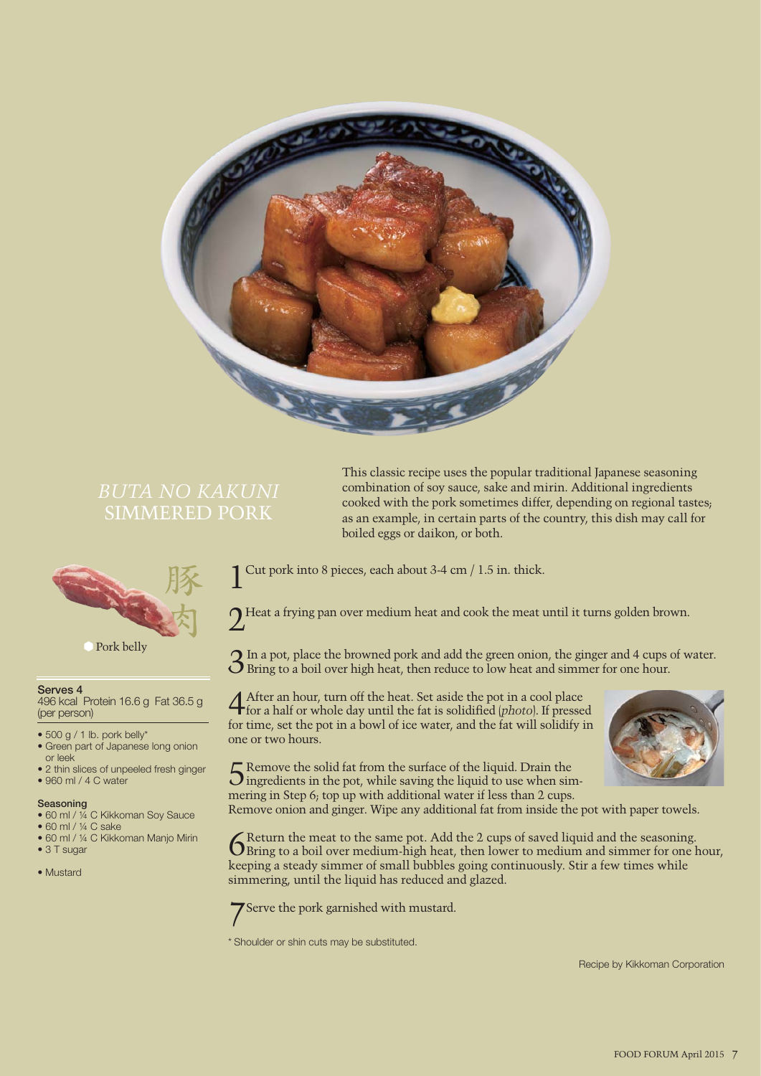

## SIMMERED PORK



Pork belly

#### **Serves 4**

496 kcal Protein 16.6 g Fat 36.5 g (per person)

 $\bullet$  500 g / 1 lb. pork belly\*

- Green part of Japanese long onion or leek
- 2 thin slices of unpeeled fresh ginger • 960 ml / 4 C water
- **Seasoning**
- 60 ml / ¼ C Kikkoman Soy Sauce
- 60 ml / ¼ C sake
- 60 ml / ¼ C Kikkoman Manjo Mirin
- 3 T sugar
- Mustard

This classic recipe uses the popular traditional Japanese seasoning combination of soy sauce, sake and mirin. Additional ingredients cooked with the pork sometimes differ, depending on regional tastes; as an example, in certain parts of the country, this dish may call for boiled eggs or daikon, or both.

Cut pork into 8 pieces, each about 3-4 cm / 1.5 in. thick.

2Heat a frying pan over medium heat and cook the meat until it turns golden brown.

3In a pot, place the browned pork and add the green onion, the ginger and 4 cups of water. Bring to a boil over high heat, then reduce to low heat and simmer for one hour.

**4** After an hour, turn off the heat. Set aside the pot in a cool place for a half or whole day until the fat is solidified (*photo*). If pressed for time, set the pot in a bowl of ice water, and the fat will solidify in one or two hours.

5Remove the solid fat from the surface of the liquid. Drain the ingredients in the pot, while saving the liquid to use when simmering in Step 6; top up with additional water if less than 2 cups.

Remove onion and ginger. Wipe any additional fat from inside the pot with paper towels.

6Return the meat to the same pot. Add the 2 cups of saved liquid and the seasoning. Bring to a boil over medium-high heat, then lower to medium and simmer for one hour, keeping a steady simmer of small bubbles going continuously. Stir a few times while simmering, until the liquid has reduced and glazed.



\* Shoulder or shin cuts may be substituted.

Recipe by Kikkoman Corporation